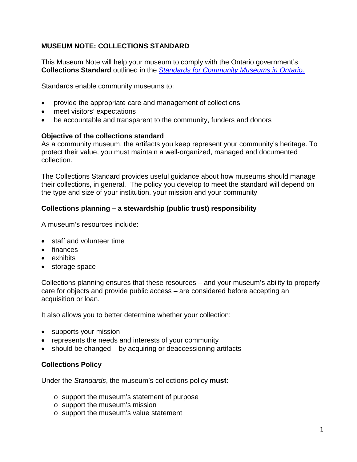# **MUSEUM NOTE: COLLECTIONS STANDARD**

This Museum Note will help your museum to comply with the Ontario government's **Collections Standard** outlined in the *[Standards for Community Museums in Ontario.](http://www.mtc.gov.on.ca/en/museums/museums_standards.shtml)*

Standards enable community museums to:

- provide the appropriate care and management of collections
- meet visitors' expectations
- be accountable and transparent to the community, funders and donors

#### **Objective of the collections standard**

As a community museum, the artifacts you keep represent your community's heritage. To protect their value, you must maintain a well-organized, managed and documented collection.

The Collections Standard provides useful guidance about how museums should manage their collections, in general. The policy you develop to meet the standard will depend on the type and size of your institution, your mission and your community

### **Collections planning – a stewardship (public trust) responsibility**

A museum's resources include:

- staff and volunteer time
- finances
- exhibits
- storage space

Collections planning ensures that these resources – and your museum's ability to properly care for objects and provide public access – are considered before accepting an acquisition or loan.

It also allows you to better determine whether your collection:

- supports your mission
- represents the needs and interests of your community
- should be changed by acquiring or deaccessioning artifacts

### **Collections Policy**

Under the *Standards*, the museum's collections policy **must**:

- o support the museum's statement of purpose
- o support the museum's mission
- o support the museum's value statement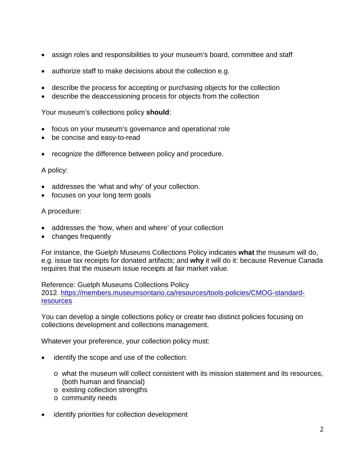- assign roles and responsibilities to your museum's board, committee and staff
- authorize staff to make decisions about the collection e.g.
- describe the process for accepting or purchasing objects for the collection
- describe the deaccessioning process for objects from the collection

Your museum's collections policy **should**:

- focus on your museum's governance and operational role
- be concise and easy-to-read
- recognize the difference between policy and procedure.

### A policy:

- addresses the 'what and why' of your collection.
- focuses on your long term goals

### A procedure:

- addresses the 'how, when and where' of your collection
- changes frequently

For instance, the Guelph Museums Collections Policy indicates **what** the museum will do, e.g. issue tax receipts for donated artifacts; and **why** it will do it: because Revenue Canada requires that the museum issue receipts at fair market value.

Reference: Guelph Museums Collections Policy

2012. [https://members.museumsontario.ca/resources/tools-policies/CMOG-standard](https://members.museumsontario.ca/resources/tools-policies/CMOG-standard-resources)[resources](https://members.museumsontario.ca/resources/tools-policies/CMOG-standard-resources)

You can develop a single collections policy or create two distinct policies focusing on collections development and collections management.

Whatever your preference, your collection policy must:

- identify the scope and use of the collection:
	- $\circ$  what the museum will collect consistent with its mission statement and its resources, (both human and financial)
	- o existing collection strengths
	- o community needs
- identify priorities for collection development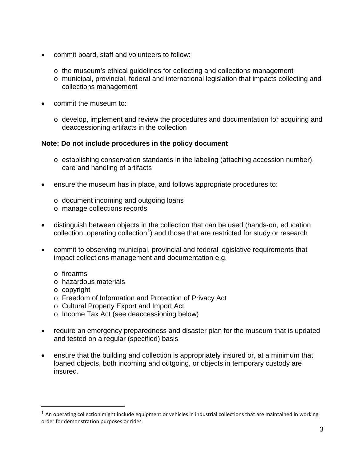- commit board, staff and volunteers to follow:
	- o the museum's ethical guidelines for collecting and collections management
	- o municipal, provincial, federal and international legislation that impacts collecting and collections management
- commit the museum to:
	- $\circ$  develop, implement and review the procedures and documentation for acquiring and deaccessioning artifacts in the collection

### **Note: Do not include procedures in the policy document**

- o establishing conservation standards in the labeling (attaching accession number), care and handling of artifacts
- ensure the museum has in place, and follows appropriate procedures to:
	- o document incoming and outgoing loans
	- o manage collections records
- distinguish between objects in the collection that can be used (hands-on, education collection, operating collection<sup>[1](#page-2-0)</sup>) and those that are restricted for study or research
- commit to observing municipal, provincial and federal legislative requirements that impact collections management and documentation e.g.
	- o firearms
	- o hazardous materials
	- o copyright
	- o Freedom of Information and Protection of Privacy Act
	- o Cultural Property Export and Import Act
	- o Income Tax Act (see deaccessioning below)
- require an emergency preparedness and disaster plan for the museum that is updated and tested on a regular (specified) basis
- ensure that the building and collection is appropriately insured or, at a minimum that loaned objects, both incoming and outgoing, or objects in temporary custody are insured.

<span id="page-2-0"></span> $1$  An operating collection might include equipment or vehicles in industrial collections that are maintained in working order for demonstration purposes or rides. i<br>I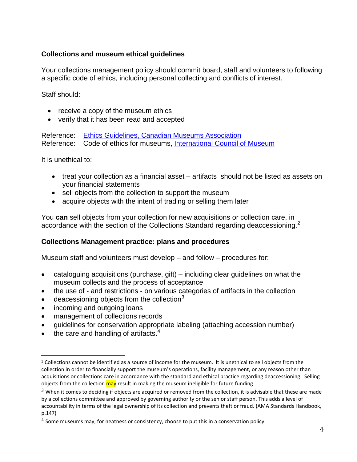# **Collections and museum ethical guidelines**

Your collections management policy should commit board, staff and volunteers to following a specific code of ethics, including personal collecting and conflicts of interest.

Staff should:

- receive a copy of the museum ethics
- verify that it has been read and accepted

Reference: [Ethics Guidelines, Canadian Museums Association](http://www.museums.ca/uploaded/web/docs/ethicsguidelines.pdf) Reference: Code of ethics for museums, [International Council of Museum](http://icom.museum/fileadmin/user_upload/pdf/Codes/code_ethics2013_eng.pdf)

It is unethical to:

- treat your collection as a financial asset artifacts should not be listed as assets on your financial statements
- sell objects from the collection to support the museum
- acquire objects with the intent of trading or selling them later

You **can** sell objects from your collection for new acquisitions or collection care, in accordance with the section of the Collections Standard regarding deaccessioning.<sup>[2](#page-3-0)</sup>

## **Collections Management practice: plans and procedures**

Museum staff and volunteers must develop – and follow – procedures for:

- cataloguing acquisitions (purchase, gift) including clear guidelines on what the museum collects and the process of acceptance
- the use of and restrictions on various categories of artifacts in the collection
- $\bullet$  deacessioning objects from the collection<sup>[3](#page-3-1)</sup>
- incoming and outgoing loans
- management of collections records
- guidelines for conservation appropriate labeling (attaching accession number)
- $\bullet$  the care and handling of artifacts.<sup>[4](#page-3-2)</sup>

<span id="page-3-0"></span> $2$  Collections cannot be identified as a source of income for the museum. It is unethical to sell objects from the collection in order to financially support the museum's operations, facility management, or any reason other than acquisitions or collections care in accordance with the standard and ethical practice regarding deaccessioning. Selling objects from the collection may result in making the museum ineligible for future funding. i<br>I

<span id="page-3-1"></span><sup>&</sup>lt;sup>3</sup> When it comes to deciding if objects are acquired or removed from the collection, it is advisable that these are made by a collections committee and approved by governing authority or the senior staff person. This adds a level of accountability in terms of the legal ownership of its collection and prevents theft or fraud. (AMA Standards Handbook, p.147)

<span id="page-3-2"></span> $4$  Some museums may, for neatness or consistency, choose to put this in a conservation policy.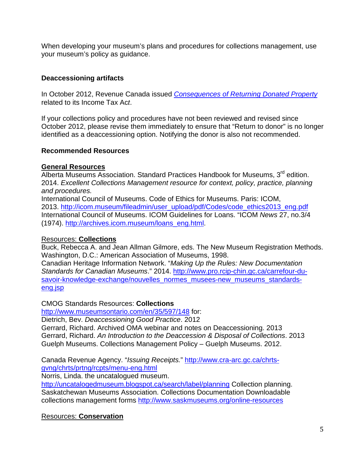When developing your museum's plans and procedures for collections management, use your museum's policy as guidance.

## **Deaccessioning artifacts**

In October 2012, Revenue Canada issued *[Consequences of Returning Donated Property](http://www.cra-arc.gc.ca/chrts-gvng/chrts/plcy/cgd/rtrng-dntd-prpty-eng.html)* related to its Income Tax Ac*t*.

If your collections policy and procedures have not been reviewed and revised since October 2012, please revise them immediately to ensure that "Return to donor" is no longer identified as a deaccessioning option. Notifying the donor is also not recommended.

## **Recommended Resources**

### **General Resources**

Alberta Museums Association. Standard Practices Handbook for Museums, 3<sup>rd</sup> edition. 2014. *Excellent Collections Management resource for context, policy, practice, planning and procedures.*

International Council of Museums. Code of Ethics for Museums. Paris: ICOM, 2013. [http://icom.museum/fileadmin/user\\_upload/pdf/Codes/code\\_ethics2013\\_eng.pdf](http://icom.museum/fileadmin/user_upload/pdf/Codes/code_ethics2013_eng.pdf) International Council of Museums. ICOM Guidelines for Loans. "ICOM *News* 27, no.3/4 (1974). [http://archives.icom.museum/loans\\_eng.html.](http://archives.icom.museum/loans_eng.html)

## Resources: **Collections**

Buck, Rebecca A. and Jean Allman Gilmore, eds. The New Museum Registration Methods. Washington, D.C.: American Association of Museums, 1998.

Canadian Heritage Information Network. "*Making Up the Rules: New Documentation Standards for Canadian Museums*." 2014. [http://www.pro.rcip-chin.gc.ca/carrefour-du](http://www.pro.rcip-chin.gc.ca/carrefour-du-savoir-knowledge-exchange/nouvelles_normes_musees-new_museums_standards-eng.jsp)[savoir-knowledge-exchange/nouvelles\\_normes\\_musees-new\\_museums\\_standards](http://www.pro.rcip-chin.gc.ca/carrefour-du-savoir-knowledge-exchange/nouvelles_normes_musees-new_museums_standards-eng.jsp)[eng.jsp](http://www.pro.rcip-chin.gc.ca/carrefour-du-savoir-knowledge-exchange/nouvelles_normes_musees-new_museums_standards-eng.jsp)

## CMOG Standards Resources: **Collections**

<http://www.museumsontario.com/en/35/597/148> for:

Dietrich, Bev. *Deaccessioning Good Practice*. 2012

Gerrard, Richard. Archived OMA webinar and notes on Deaccessioning. 2013 Gerrard, Richard. *An Introduction to the Deaccession & Disposal of Collections*. 2013 Guelph Museums. Collections Management Policy – Guelph Museums. 2012.

Canada Revenue Agency. "*Issuing Receipts.*" [http://www.cra-arc.gc.ca/chrts](http://www.cra-arc.gc.ca/chrts-gvng/chrts/prtng/rcpts/menu-eng.html)[gvng/chrts/prtng/rcpts/menu-eng.html](http://www.cra-arc.gc.ca/chrts-gvng/chrts/prtng/rcpts/menu-eng.html)

Norris, Linda. the uncatalogued museum.

<http://uncatalogedmuseum.blogspot.ca/search/label/planning> Collection planning. Saskatchewan Museums Association. Collections Documentation Downloadable collections management forms<http://www.saskmuseums.org/online-resources>

# Resources: **Conservation**